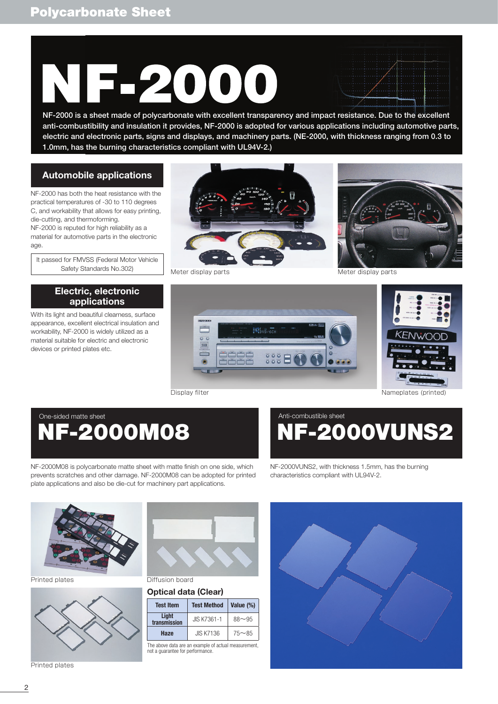# 2000

NF-2000 is a sheet made of polycarbonate with excellent transparency and impact resistance. Due to the excellent anti-combustibility and insulation it provides, NF-2000 is adopted for various applications including automotive parts, electric and electronic parts, signs and displays, and machinery parts. (NE-2000, with thickness ranging from 0.3 to 1.0mm, has the burning characteristics compliant with UL94V-2.)

## **Automobile applications**

NF-2000 has both the heat resistance with the practical temperatures of -30 to 110 degrees C, and workability that allows for easy printing, die-cutting, and thermoforming.

NF-2000 is reputed for high reliability as a material for automotive parts in the electronic age.

It passed for FMVSS (Federal Motor Vehicle

## **Electric, electronic applications**

With its light and beautiful clearness, surface appearance, excellent electrical insulation and workability, NF-2000 is widely utilized as a material suitable for electric and electronic devices or printed plates etc.









Display filter **Nameplates** (printed)

# NF-2000M08 One-sided matte sheet Anti-combustible sheet Anti-combustible sheet

NF-2000M08 is polycarbonate matte sheet with matte finish on one side, which prevents scratches and other damage. NF-2000M08 can be adopted for printed plate applications and also be die-cut for machinery part applications.

F-2000VUNS2

NF-2000VUNS2, with thickness 1.5mm, has the burning characteristics compliant with UL94V-2.



Printed plates **Diffusion** board



Printed plates



## **Optical data (Clear)**

| <b>Test Item</b>      | <b>Test Method</b> | Value (%) |  |  |  |
|-----------------------|--------------------|-----------|--|--|--|
| Light<br>transmission | JIS K7361-1        | $88 - 95$ |  |  |  |
| Haze                  | <b>JIS K7136</b>   | $75 - 85$ |  |  |  |

The above data are an example of actual measurement, not a guarantee for performance.

![](_page_0_Picture_30.jpeg)